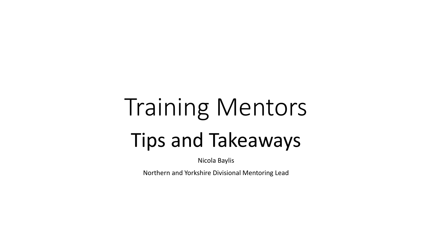# Training Mentors Tips and Takeaways

Nicola Baylis

Northern and Yorkshire Divisional Mentoring Lead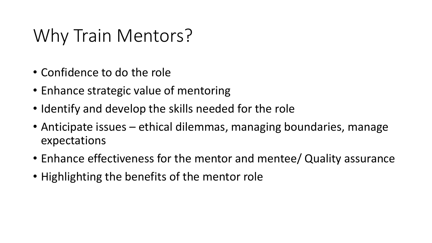#### Why Train Mentors?

- Confidence to do the role
- Enhance strategic value of mentoring
- Identify and develop the skills needed for the role
- Anticipate issues ethical dilemmas, managing boundaries, manage expectations
- Enhance effectiveness for the mentor and mentee/ Quality assurance
- Highlighting the benefits of the mentor role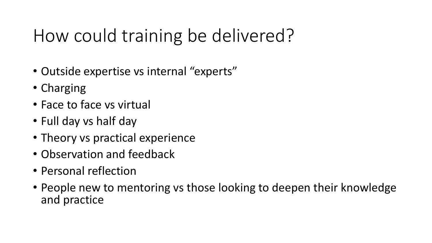#### How could training be delivered?

- Outside expertise vs internal "experts"
- Charging
- Face to face vs virtual
- Full day vs half day
- Theory vs practical experience
- Observation and feedback
- Personal reflection
- People new to mentoring vs those looking to deepen their knowledge and practice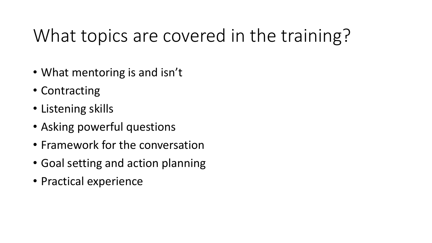#### What topics are covered in the training?

- What mentoring is and isn't
- Contracting
- Listening skills
- Asking powerful questions
- Framework for the conversation
- Goal setting and action planning
- Practical experience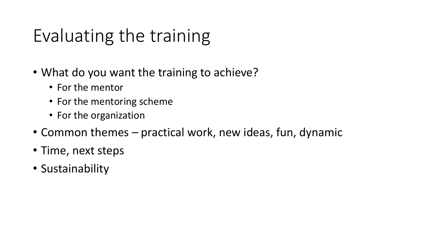### Evaluating the training

- What do you want the training to achieve?
	- For the mentor
	- For the mentoring scheme
	- For the organization
- Common themes practical work, new ideas, fun, dynamic
- Time, next steps
- Sustainability